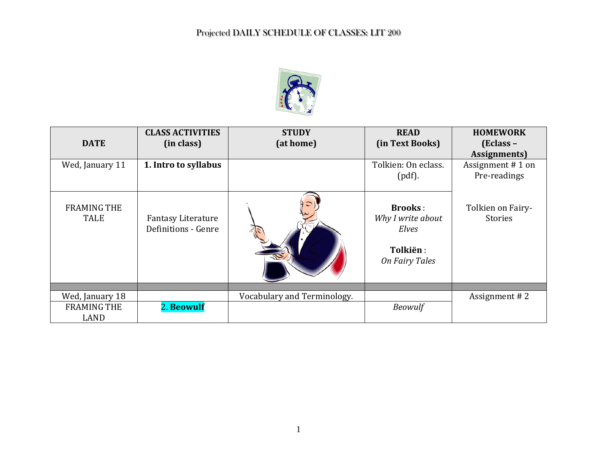

| <b>DATE</b>                       | <b>CLASS ACTIVITIES</b><br>(in class)            | <b>STUDY</b><br>(at home)   | <b>READ</b><br>(in Text Books)                                             | <b>HOMEWORK</b><br>(Eclass –<br>Assignments) |
|-----------------------------------|--------------------------------------------------|-----------------------------|----------------------------------------------------------------------------|----------------------------------------------|
| Wed, January 11                   | 1. Intro to syllabus                             |                             | Tolkien: On eclass.<br>$(pdf)$ .                                           | Assignment #1 on<br>Pre-readings             |
| <b>FRAMING THE</b><br><b>TALE</b> | <b>Fantasy Literature</b><br>Definitions - Genre |                             | <b>Brooks:</b><br>Why I write about<br>Elves<br>Tolkiën:<br>On Fairy Tales | Tolkien on Fairy-<br>Stories                 |
|                                   |                                                  |                             |                                                                            |                                              |
| Wed, January 18                   |                                                  | Vocabulary and Terminology. |                                                                            | Assignment #2                                |
| <b>FRAMING THE</b><br>LAND        | 2. Beowulf                                       |                             | <b>Beowulf</b>                                                             |                                              |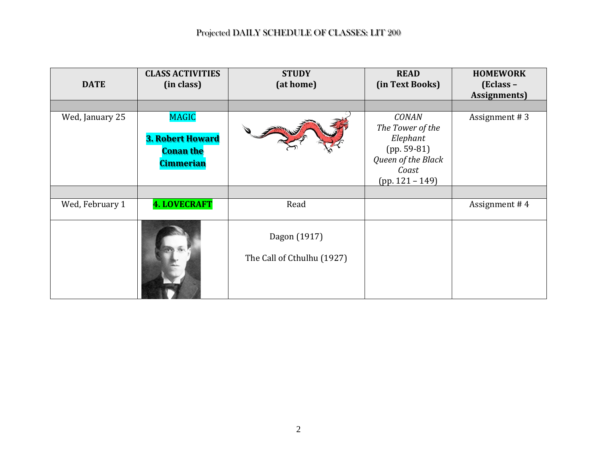| <b>DATE</b>     | <b>CLASS ACTIVITIES</b><br>(in class)                                           | <b>STUDY</b><br>(at home)                  | <b>READ</b><br>(in Text Books)                                                                                    | <b>HOMEWORK</b><br>(Eclass –<br><b>Assignments</b> ) |
|-----------------|---------------------------------------------------------------------------------|--------------------------------------------|-------------------------------------------------------------------------------------------------------------------|------------------------------------------------------|
| Wed, January 25 | <b>MAGIC</b><br><b>3. Robert Howard</b><br><b>Conan the</b><br><b>Cimmerian</b> |                                            | <b>CONAN</b><br>The Tower of the<br>Elephant<br>$(pp. 59-81)$<br>Queen of the Black<br>Coast<br>$(pp. 121 - 149)$ | Assignment #3                                        |
|                 |                                                                                 |                                            |                                                                                                                   |                                                      |
| Wed, February 1 | <b>4. LOVECRAFT</b>                                                             | Read                                       |                                                                                                                   | Assignment #4                                        |
|                 |                                                                                 | Dagon (1917)<br>The Call of Cthulhu (1927) |                                                                                                                   |                                                      |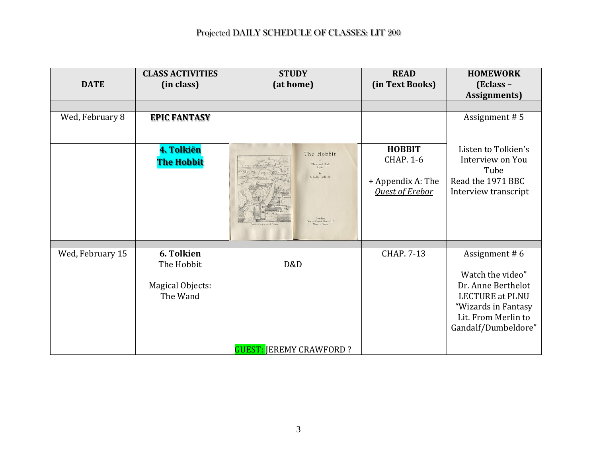| <b>DATE</b>      | <b>CLASS ACTIVITIES</b><br>(in class) | <b>STUDY</b><br>(at home)      | <b>READ</b><br>(in Text Books) | <b>HOMEWORK</b><br>(Eclass -                 |
|------------------|---------------------------------------|--------------------------------|--------------------------------|----------------------------------------------|
|                  |                                       |                                |                                | <b>Assignments</b> )                         |
|                  |                                       |                                |                                |                                              |
| Wed, February 8  | <b>EPIC FANTASY</b>                   |                                |                                | Assignment #5                                |
|                  | 4. Tolkiën                            | The Hobbit                     | <b>HOBBIT</b>                  | Listen to Tolkien's                          |
|                  | <b>The Hobbit</b>                     | There and Back<br>Again        | <b>CHAP. 1-6</b>               | Interview on You<br>Tube                     |
|                  |                                       | J. R. R. Tolkien               | + Appendix A: The              | Read the 1971 BBC                            |
|                  |                                       |                                | <b>Quest of Erebor</b>         | Interview transcript                         |
|                  |                                       | Allen & Unwin Lt               |                                |                                              |
|                  |                                       |                                |                                |                                              |
| Wed, February 15 | 6. Tolkien                            |                                | <b>CHAP. 7-13</b>              | Assignment #6                                |
|                  | The Hobbit                            | D&D                            |                                |                                              |
|                  |                                       |                                |                                | Watch the video"                             |
|                  | Magical Objects:<br>The Wand          |                                |                                | Dr. Anne Berthelot<br><b>LECTURE at PLNU</b> |
|                  |                                       |                                |                                | "Wizards in Fantasy                          |
|                  |                                       |                                |                                | Lit. From Merlin to                          |
|                  |                                       |                                |                                | Gandalf/Dumbeldore"                          |
|                  |                                       |                                |                                |                                              |
|                  |                                       | <b>GUEST: JEREMY CRAWFORD?</b> |                                |                                              |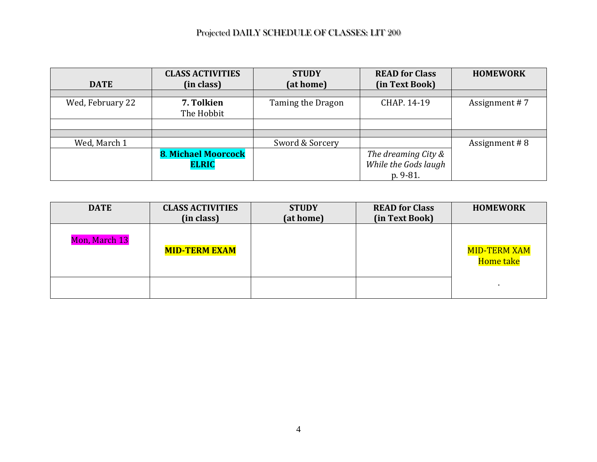|                  | <b>CLASS ACTIVITIES</b>    | <b>STUDY</b>      | <b>READ for Class</b> | <b>HOMEWORK</b> |
|------------------|----------------------------|-------------------|-----------------------|-----------------|
| <b>DATE</b>      | (in class)                 | (at home)         | (in Text Book)        |                 |
|                  |                            |                   |                       |                 |
| Wed, February 22 | 7. Tolkien                 | Taming the Dragon | CHAP. 14-19           | Assignment #7   |
|                  | The Hobbit                 |                   |                       |                 |
|                  |                            |                   |                       |                 |
|                  |                            |                   |                       |                 |
| Wed, March 1     |                            | Sword & Sorcery   |                       | Assignment #8   |
|                  | <b>8. Michael Moorcock</b> |                   | The dreaming City &   |                 |
|                  | <b>ELRIC</b>               |                   | While the Gods laugh  |                 |
|                  |                            |                   | p. 9-81.              |                 |

| <b>DATE</b>   | <b>CLASS ACTIVITIES</b><br>(in class) | <b>STUDY</b><br>(at home) | <b>READ for Class</b><br>(in Text Book) | <b>HOMEWORK</b>                  |
|---------------|---------------------------------------|---------------------------|-----------------------------------------|----------------------------------|
| Mon, March 13 | <b>MID-TERM EXAM</b>                  |                           |                                         | <b>MID-TERM XAM</b><br>Home take |
|               |                                       |                           |                                         |                                  |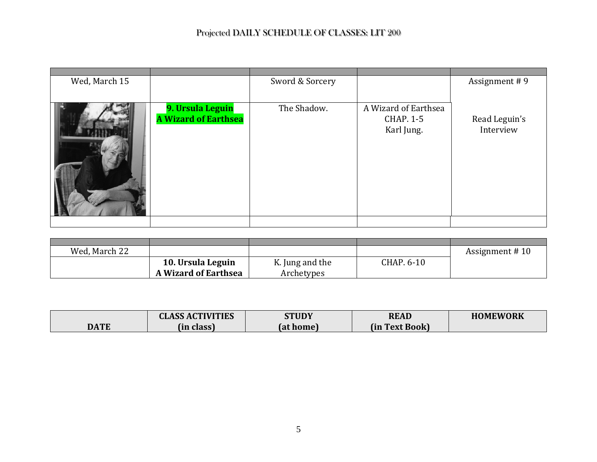| Wed, March 15 |                                                 | Sword & Sorcery |                                                        | Assignment #9              |
|---------------|-------------------------------------------------|-----------------|--------------------------------------------------------|----------------------------|
|               | 9. Ursula Leguin<br><b>A Wizard of Earthsea</b> | The Shadow.     | A Wizard of Earthsea<br><b>CHAP. 1-5</b><br>Karl Jung. | Read Leguin's<br>Interview |
|               |                                                 |                 |                                                        |                            |

| Wed, March 22 |                             |                 |            | Assignment #10 |
|---------------|-----------------------------|-----------------|------------|----------------|
|               | 10. Ursula Leguin           | K. Jung and the | CHAP. 6-10 |                |
|               | <b>A Wizard of Earthsea</b> | Archetypes      |            |                |

|      | <b>CLASS ACTIVITIES</b> | STUDY     | <b>READ</b>         | <b>HOMEWORK</b> |
|------|-------------------------|-----------|---------------------|-----------------|
| DATE | (in class)              | (at home) | fin<br>າ Text Book) |                 |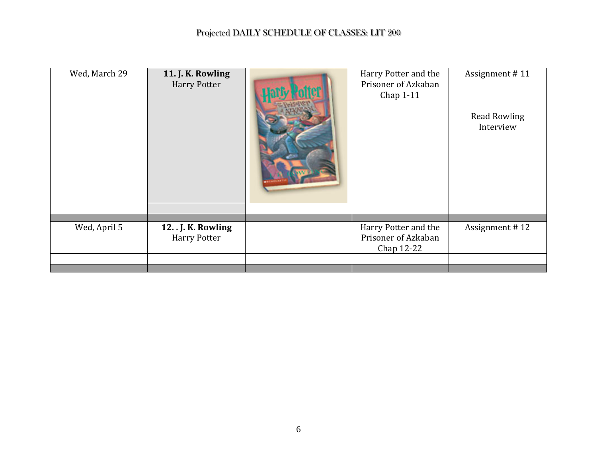| Wed, March 29 | 11. J. K. Rowling<br><b>Harry Potter</b>   | Harry Potter and the<br>Prisoner of Azkaban<br>Chap 1-11  | Assignment #11<br><b>Read Rowling</b><br>Interview |
|---------------|--------------------------------------------|-----------------------------------------------------------|----------------------------------------------------|
|               |                                            |                                                           |                                                    |
| Wed, April 5  | 12. . J. K. Rowling<br><b>Harry Potter</b> | Harry Potter and the<br>Prisoner of Azkaban<br>Chap 12-22 | Assignment #12                                     |
|               |                                            |                                                           |                                                    |